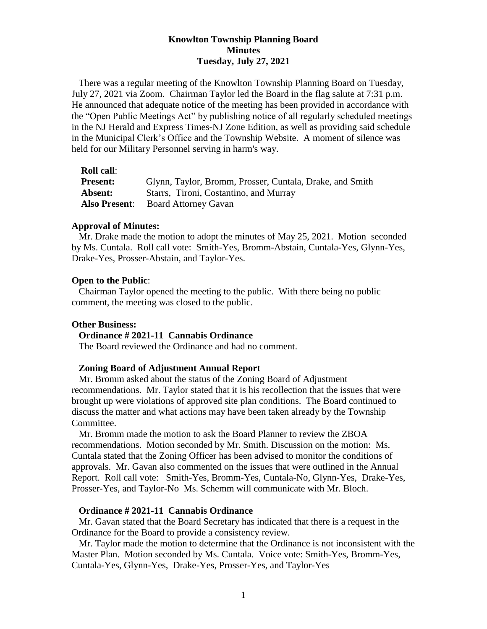## **Knowlton Township Planning Board Minutes Tuesday, July 27, 2021**

There was a regular meeting of the Knowlton Township Planning Board on Tuesday, July 27, 2021 via Zoom. Chairman Taylor led the Board in the flag salute at 7:31 p.m. He announced that adequate notice of the meeting has been provided in accordance with the "Open Public Meetings Act" by publishing notice of all regularly scheduled meetings in the NJ Herald and Express Times-NJ Zone Edition, as well as providing said schedule in the Municipal Clerk's Office and the Township Website. A moment of silence was held for our Military Personnel serving in harm's way.

### **Roll call**:

| <b>Present:</b> | Glynn, Taylor, Bromm, Prosser, Cuntala, Drake, and Smith |
|-----------------|----------------------------------------------------------|
| Absent:         | Starrs, Tironi, Costantino, and Murray                   |
|                 | <b>Also Present:</b> Board Attorney Gavan                |

### **Approval of Minutes:**

 Mr. Drake made the motion to adopt the minutes of May 25, 2021. Motion seconded by Ms. Cuntala. Roll call vote: Smith-Yes, Bromm-Abstain, Cuntala-Yes, Glynn-Yes, Drake-Yes, Prosser-Abstain, and Taylor-Yes.

#### **Open to the Public**:

 Chairman Taylor opened the meeting to the public. With there being no public comment, the meeting was closed to the public.

## **Other Business:**

### **Ordinance # 2021-11 Cannabis Ordinance**

The Board reviewed the Ordinance and had no comment.

#### **Zoning Board of Adjustment Annual Report**

Mr. Bromm asked about the status of the Zoning Board of Adjustment recommendations. Mr. Taylor stated that it is his recollection that the issues that were brought up were violations of approved site plan conditions. The Board continued to discuss the matter and what actions may have been taken already by the Township Committee.

 Mr. Bromm made the motion to ask the Board Planner to review the ZBOA recommendations. Motion seconded by Mr. Smith. Discussion on the motion: Ms. Cuntala stated that the Zoning Officer has been advised to monitor the conditions of approvals. Mr. Gavan also commented on the issues that were outlined in the Annual Report. Roll call vote: Smith-Yes, Bromm-Yes, Cuntala-No, Glynn-Yes, Drake-Yes, Prosser-Yes, and Taylor-No Ms. Schemm will communicate with Mr. Bloch.

## **Ordinance # 2021-11 Cannabis Ordinance**

Mr. Gavan stated that the Board Secretary has indicated that there is a request in the Ordinance for the Board to provide a consistency review.

 Mr. Taylor made the motion to determine that the Ordinance is not inconsistent with the Master Plan. Motion seconded by Ms. Cuntala. Voice vote: Smith-Yes, Bromm-Yes, Cuntala-Yes, Glynn-Yes, Drake-Yes, Prosser-Yes, and Taylor-Yes